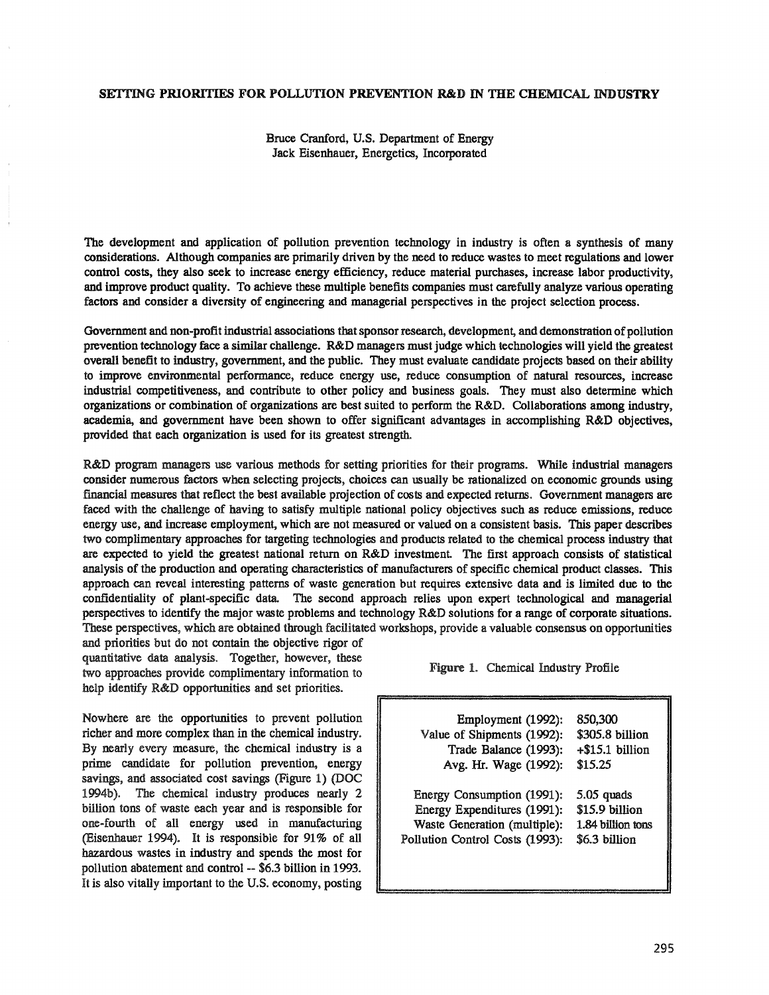### SE1TING PRIORITIES FOR POLLUTION PREVENTION R&D IN THE CHEMICAL INDUSTRY

Bruce Cranford, U.S. Department of Energy Jack Eisenhauer, Energetics, Incorporated

The development and application of pollution prevention technology in industry is often a synthesis of many considerations. Although companies are primarily driven by the need to reduce wastes to meet regulations and lower control costs, they also seek to increase energy efficiency, reduce material purchases, increase labor productivity, and improve product quality. To achieve these multiple benefits companies must carefully analyze various operating factors and consider a diversity of engineering and managerial perspectives in the project selection process.

Government and non-profit industrial associations that sponsor research, development, and demonstration of pollution prevention technology face a similar challenge. R&D managers must judge which technologies will yield the greatest overall benefit to industry, government, and the public. They must evaluate candidate projects based on their ability to improve environmental performance, reduce energy use, reduce consumption of natural resources, increase industrial competitiveness, and contribute to other policy and business goals.. They must also determine which organizations or combination of organizations are best suited to perform. the R&D. Collaborations among industry, academia, and government have been shown to offer significant advantages in accomplishing R&D objectives, provided that each organization is used for its greatest strength.

R&D program managers use various methods for setting priorities for their programs.. While industrial managers consider numerous factors when selecting projects, choices can usually be rationalized on economic grounds using financial measures that reflect the best available projection of costs and expected returns. Government managers are faced with the challenge of having to satisfy multiple national policy objectives such as reduce emissions, reduce energy use, and increase employment, which are not measured or valued on a consistent basis. This paper describes two complimentary approaches for targeting technologies and products related to the chemical process industry that are expected to yield the greatest national return on R&D investment. The first approach consists of statistical analysis of the production and operating characteristics of manufacturers of specific chemical product classes. This approach can reveal interesting patterns of waste generation but requires extensive data and is limited due to the confidentiality of plant-specific data.. The second approach relies upon expert technological and managerial perspectives to identify the major waste problems and technology R&D solutions for a range of corporate situations. These perspectives, which are obtained through facilitated workshops, provide a valuable consensus on opportunities

and priorities but do not contain the objective rigor of quantitative data analysis. Together, however, these two approaches provide complimentary information to Figure 1. Chemical Industry Profile help identify R&D opportunities and set priorities.

Nowhere are the opportunities to prevent pollution richer and more complex than in the chemical industry.. By nearly every measure, the chemical industry is a prime candidate for pollution prevention, energy savings, and associated cost savings (Figure 1) (DOC 1994b).. The chemical industry produces nearly 2 billion tons of waste each year and is responsible for one-fourth of all energy used in manufacturing (Eisenhauer 1994). It is responsible for 91% of all hazardous wastes in industry and spends the most for pollution abatement and control-- \$6.3 billion in 1993.. It is also vitally important to the U.S. economy, posting

| Employment (1992):              | 850,300           |
|---------------------------------|-------------------|
| Value of Shipments (1992):      | \$305.8 billion   |
| Trade Balance (1993):           | +\$15.1 billion   |
| Avg. Hr. Wage (1992):           | \$15.25           |
| Energy Consumption (1991):      | 5.05 quads        |
| Energy Expenditures (1991):     | \$15.9 billion    |
| Waste Generation (multiple):    | 1.84 billion tons |
| Pollution Control Costs (1993): | \$6.3 billion     |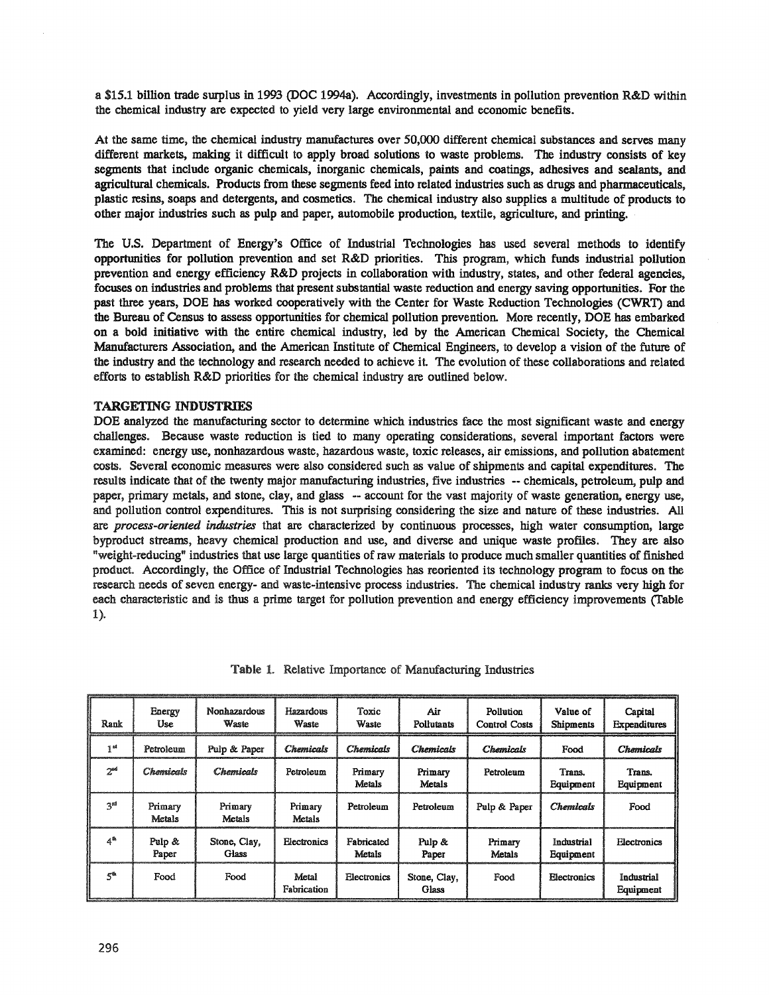a \$15.1 billion trade surplus in 1993 (DOC 1994a). Accordingly, investments in pollution prevention R&D within the chemical industry are expected to yield very large environmental and economic benefits..

At the same time, the chemical industry manufactures over 50,000 different chemical substances and serves many different markets, making it difficult to apply broad solutions to waste problems. The industry consists of key segments that include organic chemicals, inorganic chemicals, paints and coatings, adhesives and sealants, and agricultural chemicals. Products from these segments feed into related industries such as drugs and pharmaceuticals, plastic resins, soaps and detergents, and cosmetics. The chemical industry also supplies a multitude of products to other major industries such as pulp and paper, automobile production, textile, agriculture, and printing.

The U.S. Department of Energy's Office of Industrial Technologies has used several methods to identify opportunities for pollution prevention and set R&D priorities. This program, which funds industrial pollution prevention and energy efficiency R&D projects in collaboration with industry, states, and other federal agencies, focuses on industries and problems that present substantial waste reduction and energy saving opportunities. For the past three years, DOE has worked cooperatively with the Center for Waste Reduction Technologies (CWRT) and the Bureau of Census to assess opportunities for chemical pollution prevention. More recently, DOE has embarked on a bold initiative with the entire chemical industry, led by the American Chemical Society, the Chemical Manufacturers Association, and the American Institute of Chemical Engineers, to develop a vision of the future of the industry and the technology and research needed to achieve it The evolution of these collaborations and related efforts to establish R&D priorities for the chemical industry are outlined below.

## TARGETING INDUSTRIES

DOE analyzed the manufacturing sector to determine which industries face the most significant waste and energy challenges.. Because waste reduction is tied to many operating considerations, several important factors were examined: energy use, nonhazardous waste, hazardous waste, toxic releases, air emissions, and pollution abatement costs. Several economic measures were also considered such as value of shipments and capital expenditures. The results indicate that of the twenty major manufacturing industries, five industries -- chemicals, petroleum, pulp and paper, primary metals, and stone, clay, and glass -- account for the vast majority of waste generation, energy use, and pollution control expenditures. This is not surprising considering the size and nature of these industries. All are *process..oriented industries* that are characterized by continuous processes, high water consumption, large byproduct streams, heavy chemical production and use, and diverse and unique waste profiles.. They are also "weight-reducing" industries that use large quantities of raw materials to produce much smaller quantities of finished product. Accordingly, the Office of Industrial Technologies has reoriented its technology program to focus on the research needs of seven energy- and waste-intensive process industries. The chemical industry ranks very high for each characteristic and is thus a prime target for pollution prevention and energy efficiency improvements (Table 1).

| Rank            | Energy<br>Use.    | <b>Nonhazardous</b><br>Waste | Hazardous<br>Waste      | Toxic<br>Waste       | Air<br>Pollutants     | <b>Pollution</b><br><b>Control Costs</b> | Value of<br>Shipments   | Capital<br><b>Expenditures</b> |
|-----------------|-------------------|------------------------------|-------------------------|----------------------|-----------------------|------------------------------------------|-------------------------|--------------------------------|
| 1 <sup>st</sup> | Petroleum         | Pulp & Paper                 | <i><b>Chemicals</b></i> | Chemicals            | <b>Chemicals</b>      | Chemicals                                | Food                    | Chemicals                      |
| 2 <sup>nd</sup> | Chemicals         | Chemicals                    | Petroleum               | Primary<br>Metals    | Primary<br>Metals     | Petroleum                                | Trans.<br>Equipment     | Trans.<br>Equipment            |
| ್ತಾನ            | Primary<br>Metals | Primary<br>Metals            | Primary<br>Metals       | Petroleum            | Petroleum             | Pulp & Paper                             | <b>Chemicals</b>        | Food                           |
| 4ª              | Pulp &<br>Paper   | Stone, Clay,<br>Glass        | Electronics             | Fabricated<br>Metals | Pulp &<br>Paper       | Primary<br>Metals                        | Industrial<br>Equipment | <b>Electronics</b>             |
| $5^{\circ}$     | Food              | Food                         | Metal<br>Fabrication    | Electronics          | Stone, Clay,<br>Glass | Food                                     | Electronics             | Industrial<br>Equipment        |

Table 1. Relative Importance of Manufacturing Industries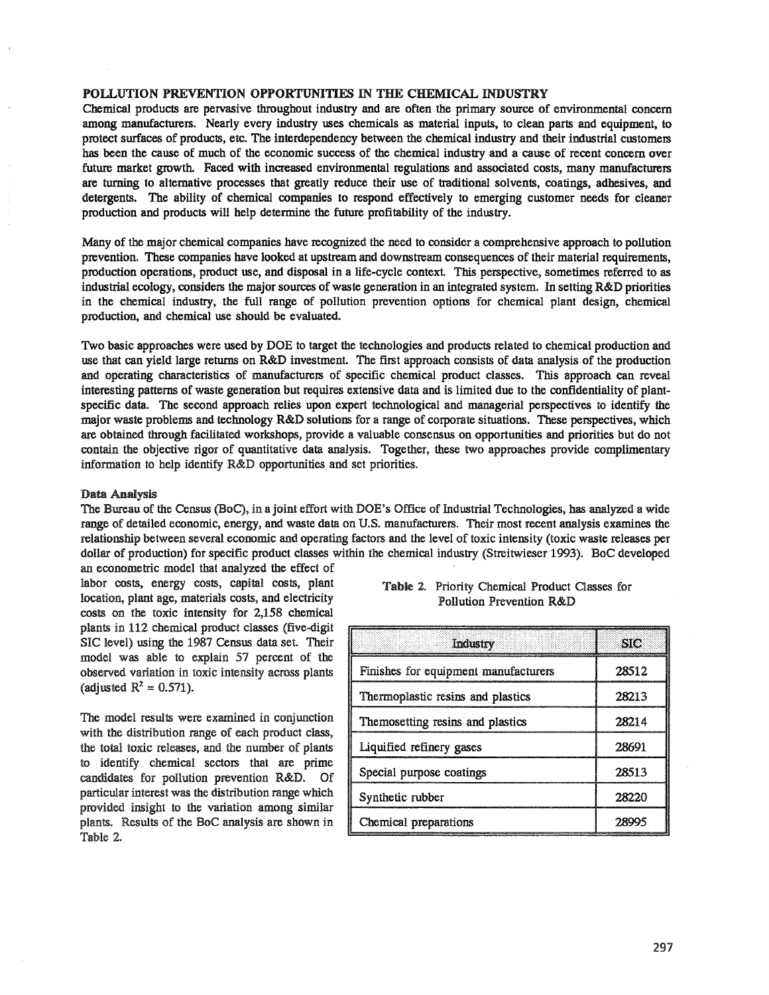### POLLUTION PREVENTION OPPORTUNITIES IN THE CHEMICAL INDUSTRY

Chemical products are pervasive throughout industry and are often the primary source of environmental concern among manufacturers. Nearly every industry uses chemicals as material inputs, to clean parts and equipment, to protect surfaces of products, etc. The interdependency between the chemical industry and their industrial customers has been the cause of much of the economic success of the chemical industry and a cause of recent concern over future market growth. Faced with increased environmental regulations and associated costs, many manufacturers are turning to alternative processes that greatly reduce their use of traditional solvents, coatings, adhesives, and detergents. The ability of chemical companies to respond effectively to emerging customer needs for cleaner production and products will help determine the future profitability of the industry.

Many of the major chemical companies have recognized the need to consider a comprehensive approach to pollution prevention.. These companies have looked at upstream and downstream consequences oftheir material requirements, production operations, product use, and disposal in a life-cycle context. This perspective, sometimes referred to as industrial ecology, considers the major sources of waste generation in an integrated system. In setting R&D priorities in the chemical industry, the full range of pollution prevention options for chemical plant design, chemical production, and chemical use should be evaluated.

Two basic approaches were used by DOE to target the technologies and products related to chemical production and use that can yield large returns on R&D investment. The first approach consists of data analysis of the production and operating characteristics of manufacturers of specific chemical product classes. This approach can reveal interesting patterns of waste generation but requires extensive data and is limited due to the confidentiality of plantspecific data. The second approach relies upon expert technological and managerial perspectives to identify the major waste problems and technology R&D solutions for a range of corporate situations. These perspectives, which are obtained through facilitated workshops, provide a valuable consensus on opportunities and priorities but do not contain the objective rigor of quantitative data analysis. Together, these two approaches provide complimentary information to help identify  $R&D$  opportunities and set priorities.

#### Data Analysis

The Bureau of the Census (BoC), in a joint effort with DOE's Office of Industrial Technologies, has analyzed a wide range of detailed economic, energy, and waste data on U.S. manufacturers. Their most recent analysis examines the relationship between several economic and operating factors and the level of toxic intensity (toxic waste releases per dollar of production) for specific product classes within the chemical industry (Streitwieser 1993). BoC developed

an econometric model that analyzed the effect of labor costs, energy costs, capital costs, plant location, plant age, materials costs, and electricity costs on the toxic intensity for  $2,158$  chemical plants in 112 chemical product classes (five-digit SIC level) using the 1987 Census data set. Their model was able to explain 57 percent of the observed variation in toxic intensity across plants (adjusted  $R^2 = 0.571$ ).

The model results were examined in conjunction with the distribution range of each product class, the total toxic releases, and the number of plants to identify chemical sectors that are prime candidates for pollution prevention R&D. Of particular interest was the distribution range which provided insight to the variation among similar plants. Results of the BoC analysis are shown in Table 2.

|  | Table 2. Priority Chemical Product Classes for |
|--|------------------------------------------------|
|  | Pollution Prevention R&D                       |

| Industry                             | <b>SIC</b> |
|--------------------------------------|------------|
| Finishes for equipment manufacturers | 28512      |
| Thermoplastic resins and plastics    | 28213      |
| Themosetting resins and plastics     | 28214      |
| Liquified refinery gases             | 28691      |
| Special purpose coatings             | 28513      |
| Synthetic rubber                     | 28220      |
| Chemical preparations                |            |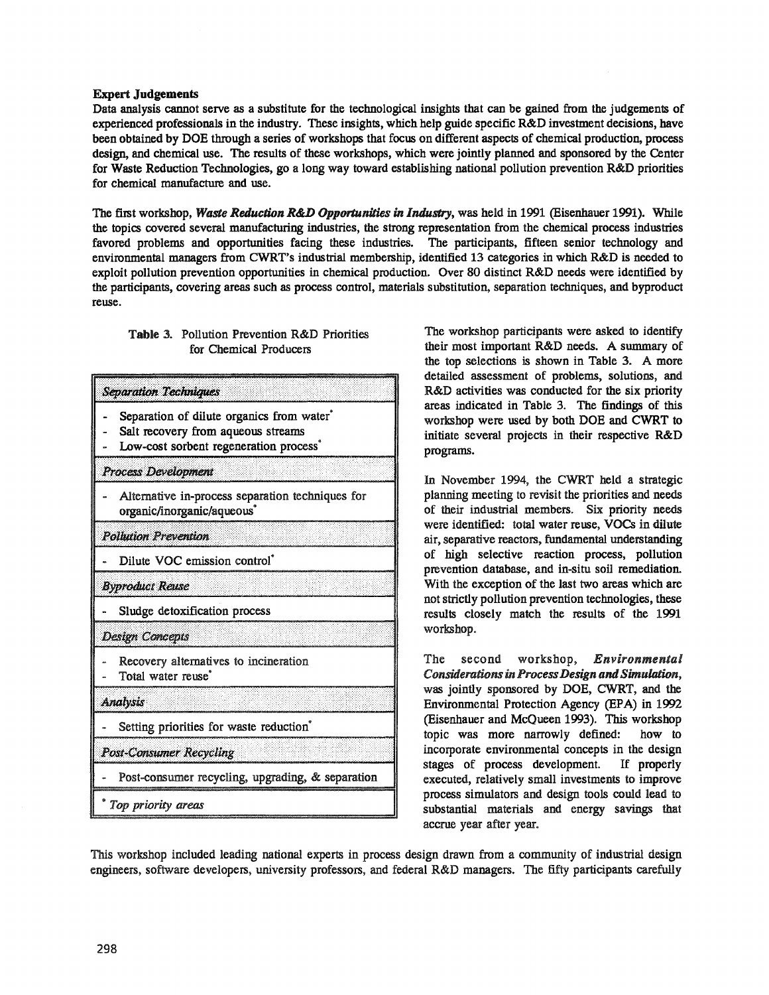## Expert Judgements

Data analysis cannot serve as a substitute for the technological insights that can be gained from the judgements of experienced professionals in the industry. These insights, which help guide specific R&D investment decisions, have been obtained by DOE through a series of workshops that focus on different aspects of chemical production, process design, and chemical use. The results of these workshops, which were jointly planned and sponsored by the Center for Waste Reduction Technologies, go a long way toward establishing national pollution prevention R&D priorities for chemical manufacture and use.

The first workshop, *Waste Reduction R&D Opportunities in Industry,* was held in 1991 (Eisenhauer 1991). While the topics covered several manufacturing industries, the strong representation from the chemical process industries favored problems and opportunities facing these industries. The participants, fifteen senior technology and environmental managers from CWRT's industrial membership, identified 13 categories in which R&D is needed to exploit pollution prevention opportunities in chemical production. Over 80 distinct R&D needs were identified by the participants, covering areas such as process control, materials substitution, separation techniques, and byproduct reuse.

# Table 3.. Pollution Prevention R&D Priorities for Chemical Producers

| <b>Separation Techniques</b>   |                                                                                                                                                   |
|--------------------------------|---------------------------------------------------------------------------------------------------------------------------------------------------|
|                                | Separation of dilute organics from water <sup>*</sup><br>Salt recovery from aqueous streams<br>Low-cost sorbent regeneration process <sup>®</sup> |
| Process Development            |                                                                                                                                                   |
|                                | Alternative in-process separation techniques for<br>organic/inorganic/aqueous <sup>*</sup>                                                        |
| <b>Pollution Prevention</b>    |                                                                                                                                                   |
|                                | Dilute VOC emission control <sup>*</sup>                                                                                                          |
| <b>Byproduct Reuse</b>         |                                                                                                                                                   |
|                                | Sludge detoxification process                                                                                                                     |
| <b>Design Concepts</b>         |                                                                                                                                                   |
| Total water reuse <sup>®</sup> | Recovery alternatives to incineration                                                                                                             |
| <b>Analysis</b>                |                                                                                                                                                   |
|                                | Setting priorities for waste reduction <sup>®</sup>                                                                                               |
| <b>Post-Consumer Recycling</b> |                                                                                                                                                   |
|                                | Post-consumer recycling, upgrading, & separation                                                                                                  |
| Top priority areas             |                                                                                                                                                   |

The workshop participants were asked to identify their most important R&D needs. A summary of the top selections is shown in Table 3.. A more detailed assessment of problems, solutions, and R&D activities was conducted for the six priority areas indicated in Table 3. The findings of this workshop were used by both DOE and CWRT to initiate several projects in their respective R&D programs.

In November 1994, the CWRT held a strategic planning meeting to revisit the priorities and needs of their industrial members.. Six priority needs were identified: total water reuse, VOCS in dilute air, separative reactors, fundamental understanding of high selective reaction process, pollution prevention database, and in-situ soil remediation.. With the exception of the last two areas which are notstrictly pollution prevention technologies, these results closely match the results of the 1991 workshop..

The second workshop, *Environmental ConsiderationsinProcessDesign andSimulation.,* was jointly sponsored by DOE, CWRT, and the Environmental Protection Agency (EPA) in 1992 (Eisenhauer and McQueen 1993). This workshop topic was more narrowly defined: how to incorporate environmental concepts in the design stages of process development. If properly executed, relatively small investments to improve process simulators and design tools could lead to substantial materials and energy savings that accrue year after year..

This workshop included leading national experts in process design drawn from a community of industrial design engineers, software developers, university professors, and federal R&D managers. The fifty participants carefully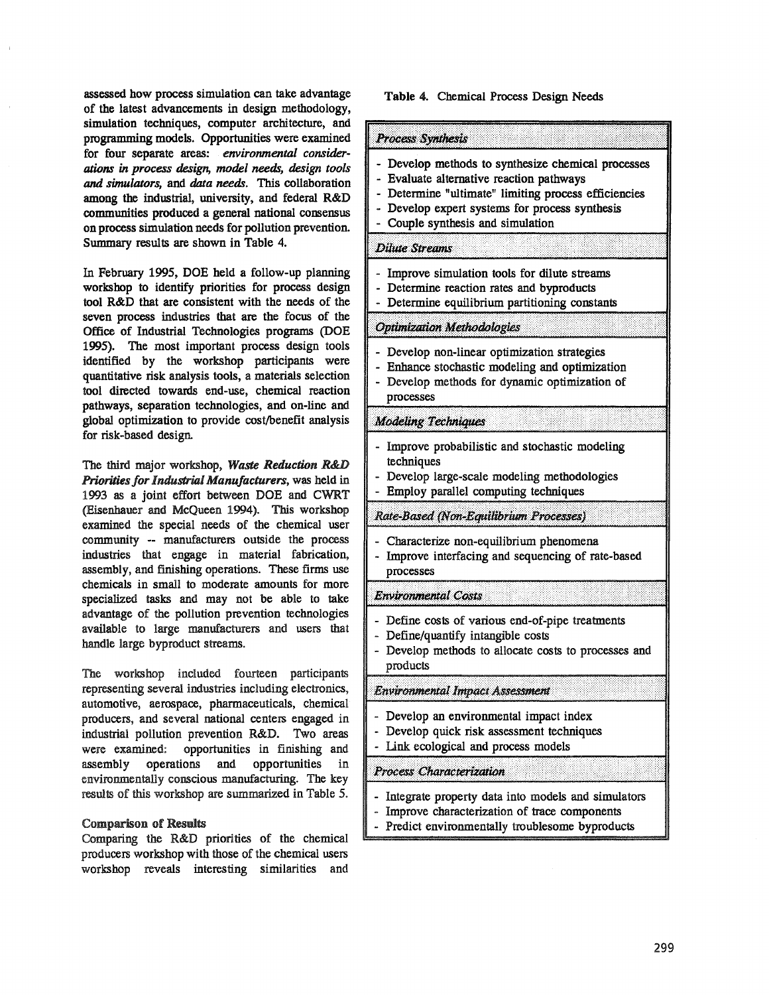assessed how process simulation can take advantage of the latest advancements in design methodology, simulation techniques, computer architecture, and programming models. Opportunities were examined for four separate areas: *environmental considerations* in *process design, model needs, design tools and simulators, and data needs.* This collaboration among the industrial, university, and federal R&D communities produced a general national consensus on process simulation needs for pollution prevention. Summary results are shown in Table 4.

In February 1995, DOE held a follow-up planning workshop to identify priorities for process design tool R&D that are consistent with the needs of the seven process industries that are the focus of the Office of Industrial Technologies programs (DOE 1995). The most important process design tools identified by the workshop participants were quantitative risk analysis tools, a materials selection tool directed towards end-use, chemical reaction pathways, separation technologies, and on-line and global optimization to provide cost/benefit analysis for risk-based desiga

The third major workshop, *Waste Reduction R&D Priorities for Industrial Manufacturers, was held in* 1993 as a joint effort between DOE and CWRT (Eisenhauer and McQueen 1994). This workshop examined the special needs of the chemical user community -- manufacturers outside the process industries that engage in material fabrication, assembly, and finishing operations. These firms use chemicals in small to moderate amounts for more specialized tasks and may not be able to take advantage of the pollution prevention technologies available to large manufacturers and users that handle large byproduct streams.

The workshop included fourteen participants representing several industries including electronics, automotive, aerospace, pharmaceuticals, chemical producers, and several national centers engaged in industrial pollution prevention R&D. Two areas were examined: opportunities in finishing and assembly operations and opportunities in environmentally conscious manufacturing. The key results of this workshop are summarized in Table 5..

#### Comparison of Results

Comparing the R&D priorities of the chemical producers workshop with those of the chemical users workshop reveals interesting similarities and

#### Table 4. Chemical Process Design Needs

| Process Synthesis                                                                                                                                                                                                                             |
|-----------------------------------------------------------------------------------------------------------------------------------------------------------------------------------------------------------------------------------------------|
| - Develop methods to synthesize chemical processes<br>- Evaluate alternative reaction pathways<br>- Determine "ultimate" limiting process efficiencies<br>- Develop expert systems for process synthesis<br>- Couple synthesis and simulation |
| <b>Dilute Streams</b>                                                                                                                                                                                                                         |
| - Improve simulation tools for dilute streams<br>- Determine reaction rates and byproducts<br>- Determine equilibrium partitioning constants                                                                                                  |
| <b>Optimization Methodologies</b>                                                                                                                                                                                                             |
| - Develop non-linear optimization strategies<br>- Enhance stochastic modeling and optimization<br>- Develop methods for dynamic optimization of<br>processes                                                                                  |
| <b>Modeling Techniques</b>                                                                                                                                                                                                                    |
| Improve probabilistic and stochastic modeling<br>techniques<br>Develop large-scale modeling methodologies<br>- Employ parallel computing techniques                                                                                           |
| Rate-Based (Non-Equilibrium Processes)                                                                                                                                                                                                        |
| Characterize non-equilibrium phenomena<br>Improve interfacing and sequencing of rate-based<br>processes                                                                                                                                       |
| <b>Environmental Costs</b>                                                                                                                                                                                                                    |
| - Define costs of various end-of-pipe treatments<br>- Define/quantify intangible costs<br>- Develop methods to allocate costs to processes and<br>products                                                                                    |
| Environmental Impact Assessment                                                                                                                                                                                                               |
| Develop an environmental impact index<br>Develop quick risk assessment techniques<br>Link ecological and process models                                                                                                                       |
| Process Characterization                                                                                                                                                                                                                      |
| Integrate property data into models and simulators<br>Improve characterization of trace components<br>Predict environmentally troublesome byproducts                                                                                          |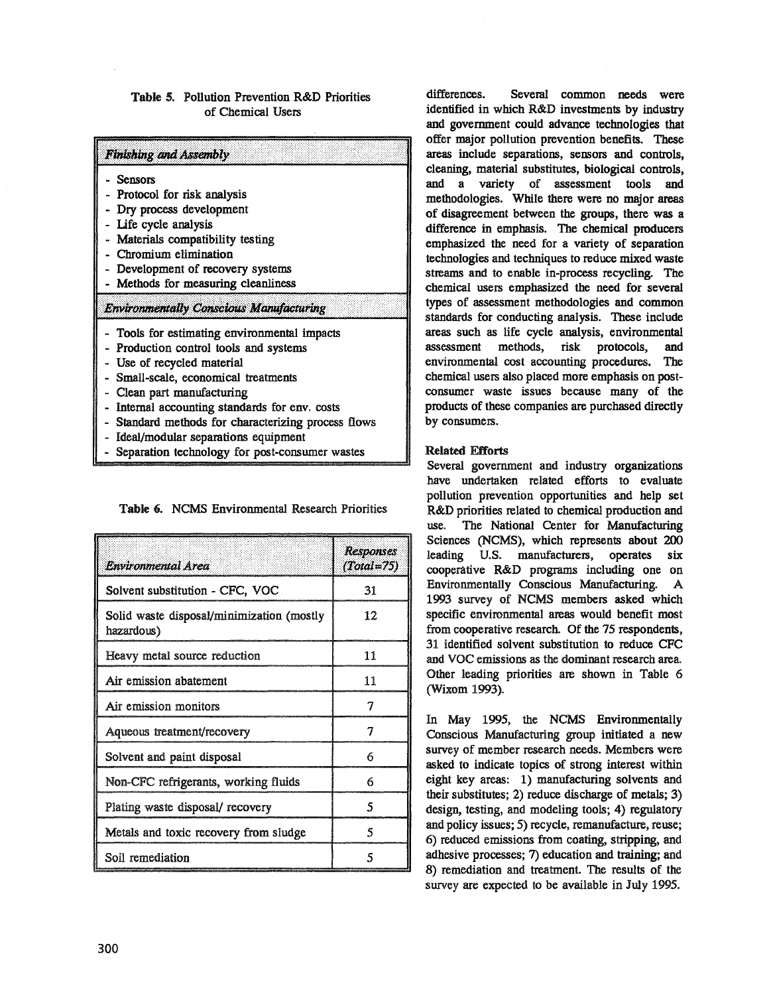## Table 5. Pollution Prevention R&D Priorities of Chemical Users

|         | Finishing and Assembly                              |
|---------|-----------------------------------------------------|
| Sensors |                                                     |
|         | - Protocol for risk analysis                        |
|         | - Dry process development                           |
|         | Life cycle analysis                                 |
|         | Materials compatibility testing                     |
|         | Chromium elimination                                |
|         | - Development of recovery systems                   |
|         | Methods for measuring cleanliness                   |
|         | <b>Environmentally Conscious Manufacturing</b>      |
|         | - Tools for estimating environmental impacts        |
|         | - Production control tools and systems              |
|         | - Use of recycled material                          |
|         | - Small-scale, economical treatments                |
|         | Clean part manufacturing                            |
|         | - Internal accounting standards for env. costs      |
|         | - Standard methods for characterizing process flows |
|         | - Ideal/modular separations equipment               |
|         | Separation technology for post-consumer wastes      |

Table 6. NCMS Environmental Research Priorities

| Environmental Area                                      | <b>Responses</b><br>(Total#75) |
|---------------------------------------------------------|--------------------------------|
| Solvent substitution - CFC, VOC                         | 31                             |
| Solid waste disposal/minimization (mostly<br>hazardous) | 12                             |
| Heavy metal source reduction                            | 11                             |
| Air emission abatement                                  | 11                             |
| Air emission monitors                                   | 7                              |
| Aqueous treatment/recovery                              | 7                              |
| Solvent and paint disposal                              | 6                              |
| Non-CFC refrigerants, working fluids                    | 6                              |
| Plating waste disposal/ recovery                        | 5                              |
| Metals and toxic recovery from sludge                   | 5                              |
| Soil remediation                                        | 5                              |

differences. Several common needs were identified in which R&D investments by industry and government could advance technologies that offer major pollution prevention benefits. These areas include separations, sensors and controls, cleaning, material substitutes, biological controls, and a variety of assessment tools and methodologies. While there were no major areas of disagreement between the groups, there was a difference in emphasis. The chemical producers emphasized the need for a variety of separation technologies and techniques to reduce mixed waste streams and to enable in-process recycling. The chemical users emphasized the need for several types of assessment methodologies and common standards for conducting analysis. These include areas such as life cycle analysis, environmental assessment methods, risk protocols, and environmental cost accounting procedures. The chemical users also placed more emphasis on postconsumer waste issues because many of the products of these companies are purchased directly by consumers.

# Related Efforts

JI

Several government and industry organizations have undertaken related efforts to evaluate pollution prevention opportunities and help set R&D priorities related to chemical production and use. The National Center for Manufacturing Sciences (NCMS), which represents about 200 leading U.S. manufacturers, operates six cooperative R&D programs including one on Environmentally Conscious Manufacturing. A 1993 survey of NCMS members asked which specific environmental areas would benefit most from cooperative research. Of the 75 respondents, 31 identified solvent substitution to reduce CFC and VOC emissions as the dominant research area. Other leading priorities are shown in Table 6 (Wixom 1993).

In May 1995, the NCMS Environmentally Conscious Manufacturing group initiated a new survey of member research needs. Members were asked to indicate topics of strong interest within eight key areas: 1) manufacturing solvents and their substitutes; 2) reduce discharge of metals; 3) design, testing, and modeling tools; 4) regulatory and policy issues; 5) recycle, remanufacture, reuse; 6) reduced emissions from coating, stripping, and adhesive processes; 7) education and training; and 8) remediation and treatment. The results of the survey are expected to be available in July 1995.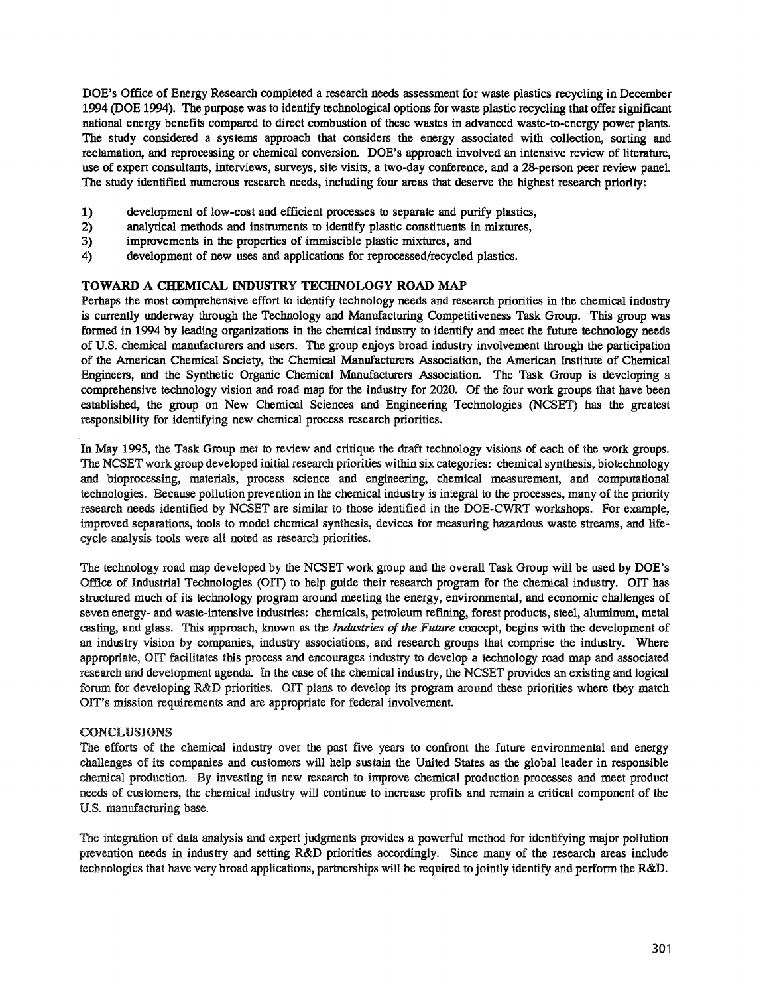DOE's Office of Energy Research completed a research needs assessment for waste plastics recycling in December 1994 (DOE 1994). The purpose was to identify technological options for waste plastic recycling that offersignificant national energy benefits compared to direct combustion of these wastes in advanced waste-to-energy power plants.. The study considered a systems approach that considers the energy associated with collection, sorting and reclamation, and reprocessing or chemical conversion. DOE's approach involved an intensive review of literature, use of expert consultants, interviews, surveys, site visits, a two-day conference, and a 28-person peer review panel. The study identified numerous research needs, including four areas that deserve the highest research priority:

- 1) development of low-cost and efficient processes to separate and purify plastics,
- 2) analytical methods and instruments to identify plastic constituents in mixtures,
- 3) improvements in the properties of immiscible plastic mixtures, and
- 4) development of new uses and applications for reprocessed/recycled plastics.

## TOWARD A CHEMICAL INDUSTRY TECHNOLOGY ROAD MAP

Perhaps the most comprehensive effort to identify technology needs and research priorities in the chemical industry is currently underway through the Technology and Manufacturing Competitiveness Task Group. This group was formed in 1994 by leading organizations in the chemical industry to identify and meet the future technology needs of U.S. chemical manufacturers and users. The group enjoys broad industry involvement through the participation of the American Chemical Society, the Chemical Manufacturers Association, the American Institute of Chemical Engineers, and the Synthetic Organic Chemical Manufacturers Association. The Task Group is developing a comprehensive technology vision and road map for the industry for 2020.. Of the four work groups that have been established, the group on New Chemical Sciences and Engineering Technologies (NCSE1) has the greatest responsibility for identifying new chemical process research priorities.

In May 1995, the Task Group met to review and critique the draft technology visions of each of the work groups. The NCSET work group developed initial research priorities within six categories: chemical synthesis, biotechnology and bioprocessing, materials, process science and engineering, chemical measurement, and computational technologies.. Because pollution prevention in the chemical industry is integral to the processes, many of the priority research needs identified by NCSET are similar to those identified in the DOE-CWRT workshops. For example, improved separations, tools to model chemical synthesis, devices for measuring hazardous waste streams, and lifecycle analysis tools were all noted as research priorities..

The technology road map developed by the NCSET work group and the overall Task Group will be used by DOE's Office of Industrial Technologies (OIT) to help guide their research program for the chemical industry. OIT has structured much of its technology program around meeting the energy, environmental, and economic challenges of seven energy-and waste-intensive industries: chemicals, petroleum refining, forest products, steel, aluminum, metal casting, and glass. This approach, known as the *Industries of the Future* concept, begins with the development of an industry vision by companies, industry associations, and research groups that comprise the industry. Where appropriate, orr facilitates this process and encourages industry to develop a technology road map and associated research and development agenda. In the case of the chemical industry, the NCSET provides an existing and logical forum for developing R&D priorities. OIT plans to develop its program around these priorities where they match OIT's mission requirements and are appropriate for federal involvement.

## CONCLUSIONS

The efforts of the chemical industry over the past five years to confront the future environmental and energy challenges of its companies and customers will help sustain the United States as the global leader in responsible chemical production. By investing in new research to improve chemical production processes and meet product needs of customers, the chemical industry will continue to increase profits and remain a critical component of the U.S. manufacturing base.

The integmtion of data analysis and expert judgments provides a powerful method for identifying major pollution prevention needs in industry and setting R&D priorities accordingly. Since many of the research areas include technologies that have very broad applications, partnerships will be required to jointly identify and perform the R&D.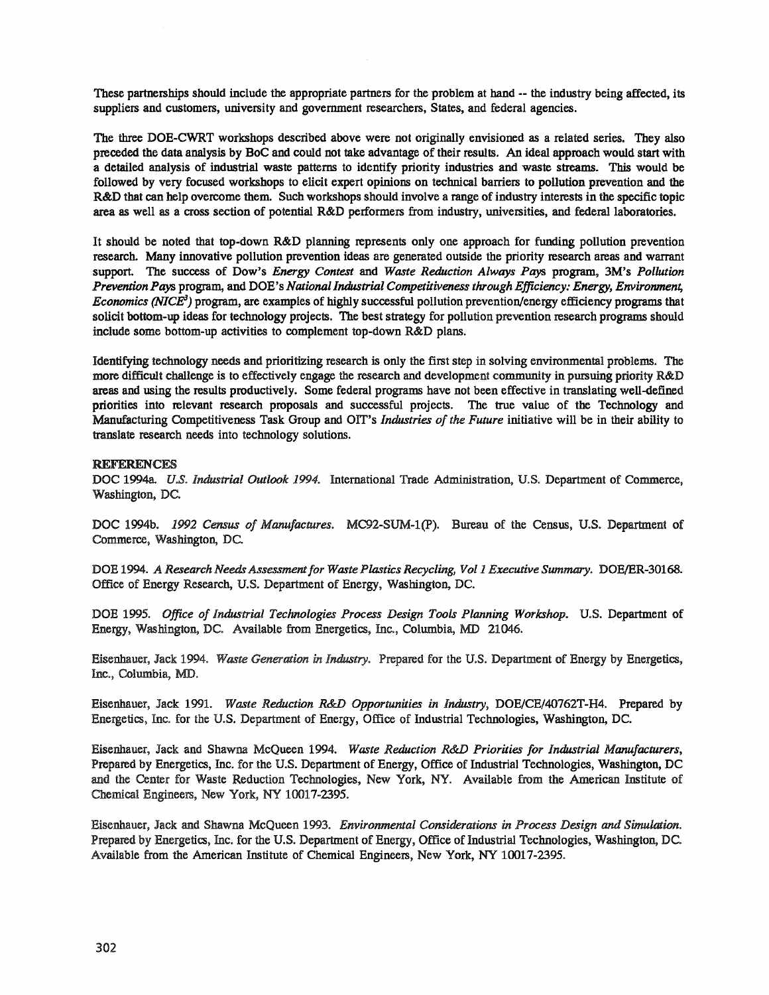These partnerships should include the appropriate partners for the problem at hand -- the industry being affected, its suppliers and customers, university and government researchers, States, and federal agencies..

The three DOE-CWRT workshops described above were not originally envisioned as a related series. They also preceded the data analysis by BoC and could not take advantage of their results. An ideal approach would start with a detailed analysis of industrial waste patterns to identify priority industries and waste streams. This would be followed by very focused workshops to elicit expert opinions on technical barriers to pollution prevention and the R&D that can help overcome them. Such workshops should involve a range of industry interests in the specific topic area as well as a cross section of potential R&D performers from industry, universities, and federal laboratories.

It should be noted that top-down R&D planning represents only one approach for funding pollution prevention research. Many innovative pollution prevention ideas are generated outside the priority research areas and warrant support. The success of Dow's *Energy Contest* and *Waste Reduction Always Pays* program, 3M's *Pollution Prevention Pays* program, and DOE's *National Industrial Competitiveness through Efficiency: Energy, Environment, Economics (NICE)* program, are examples of highly successful pollution prevention/energy efficiency programs that solicit bottom-up ideas for technology projects. The best strategy for pollution prevention research programs should include some bottom-up activities to complement top-down R&D plans.

Identifying technology needs and prioritizing research is only the first step in solving environmental problems,. The more difficult challenge is to effectively engage the research and development community in pursuing priority R&D areas and using the results productively. Some fedeml programs have not been effective in translating well-defined priorities into relevant research proposals and successful projects. The true value of the Technology and Manufacturing Competitiveness Task Group and OIT's *Industries of the Future* initiative will be in their ability to translate research needs into technology solutions..

### REFERENCES

DOC 1994a. *U.S. Industrial Outlook 1994*. International Trade Administration, U.S. Department of Commerce, Washington, DC

DOC 1994b. 1992 Census of Manufactures. MC92-SUM-1(P). Bureau of the Census, U.S. Department of Commerce, Washington, DC.

DOE 1994. A Research Needs Assessment for Waste Plastics Recycling, Vol 1 Executive Summary. DOE/ER-30168. Office of Energy Research, u.s. Department of Energy, Washington, DC.

DOE 1995. *Office of Industrial Technologies Process Design Tools Planning Workshop..* U..S.. Department of Energy, Washington, DC. Available from Energetics, Inc., Columbia, MD 21046.

Eisenhauer, Jack 1994" *Waste Generation* in *Industry..* Prepared for the U..S.. Department of Energy by Energetics, Inc., Columbia, MD.

Eisenhauer, Jack 1991. *Waste Reduction R&D Opportunities in Industry,* DOE/CE/40762T-H4. Prepared by Energetics, Inc. for the U.S. Department of Energy, Office of Industrial Technologies, Washington, DC.

Eisenhauer, Jack and Shawna McQueen 1994. *Waste Reduction R&D Priorities for Industrial Manufacturers,* Prepared by Energetics, Inc. for the U.S. Department of Energy, Office of Industrial Technologies, Washington, DC and the Center for Waste Reduction Technologies, New York, NY.. Available from the American Institute of Chemical Engineers, New York, NY 10017-2395.

Eisenhauer, Jack and Shawna McQueen 1993.. *Environmental Considerations in Process Design and Simulation.* Prepared by Energetics, Inc. for the U.S. Department of Energy, Office of Industrial Technologies, Washington, DC. Available from the American Institute of Chemical Engineers, New York, NY 10017-2395..